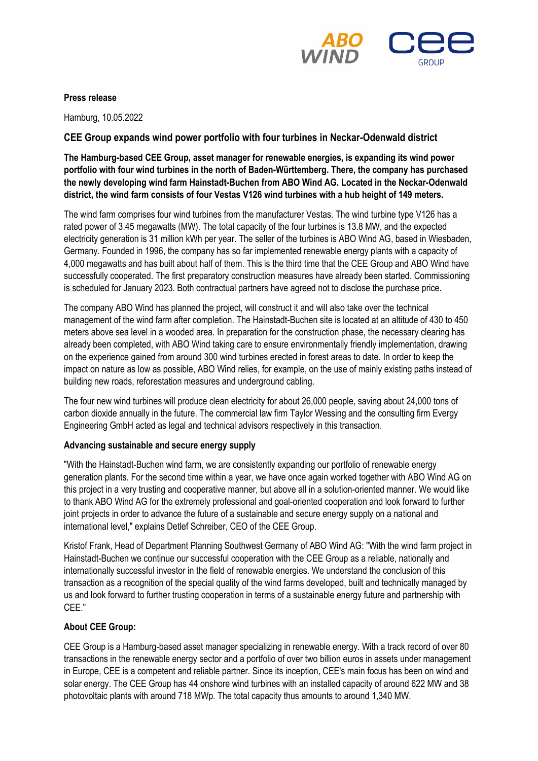

### **Press release**

Hamburg, 10.05.2022

# **CEE Group expands wind power portfolio with four turbines in Neckar-Odenwald district**

**The Hamburg-based CEE Group, asset manager for renewable energies, is expanding its wind power portfolio with four wind turbines in the north of Baden-Württemberg. There, the company has purchased the newly developing wind farm Hainstadt-Buchen from ABO Wind AG. Located in the Neckar-Odenwald district, the wind farm consists of four Vestas V126 wind turbines with a hub height of 149 meters.**

The wind farm comprises four wind turbines from the manufacturer Vestas. The wind turbine type V126 has a rated power of 3.45 megawatts (MW). The total capacity of the four turbines is 13.8 MW, and the expected electricity generation is 31 million kWh per year. The seller of the turbines is ABO Wind AG, based in Wiesbaden, Germany. Founded in 1996, the company has so far implemented renewable energy plants with a capacity of 4,000 megawatts and has built about half of them. This is the third time that the CEE Group and ABO Wind have successfully cooperated. The first preparatory construction measures have already been started. Commissioning is scheduled for January 2023. Both contractual partners have agreed not to disclose the purchase price.

The company ABO Wind has planned the project, will construct it and will also take over the technical management of the wind farm after completion. The Hainstadt-Buchen site is located at an altitude of 430 to 450 meters above sea level in a wooded area. In preparation for the construction phase, the necessary clearing has already been completed, with ABO Wind taking care to ensure environmentally friendly implementation, drawing on the experience gained from around 300 wind turbines erected in forest areas to date. In order to keep the impact on nature as low as possible, ABO Wind relies, for example, on the use of mainly existing paths instead of building new roads, reforestation measures and underground cabling.

The four new wind turbines will produce clean electricity for about 26,000 people, saving about 24,000 tons of carbon dioxide annually in the future. The commercial law firm Taylor Wessing and the consulting firm Evergy Engineering GmbH acted as legal and technical advisors respectively in this transaction.

### **Advancing sustainable and secure energy supply**

"With the Hainstadt-Buchen wind farm, we are consistently expanding our portfolio of renewable energy generation plants. For the second time within a year, we have once again worked together with ABO Wind AG on this project in a very trusting and cooperative manner, but above all in a solution-oriented manner. We would like to thank ABO Wind AG for the extremely professional and goal-oriented cooperation and look forward to further joint projects in order to advance the future of a sustainable and secure energy supply on a national and international level," explains Detlef Schreiber, CEO of the CEE Group.

Kristof Frank, Head of Department Planning Southwest Germany of ABO Wind AG: "With the wind farm project in Hainstadt-Buchen we continue our successful cooperation with the CEE Group as a reliable, nationally and internationally successful investor in the field of renewable energies. We understand the conclusion of this transaction as a recognition of the special quality of the wind farms developed, built and technically managed by us and look forward to further trusting cooperation in terms of a sustainable energy future and partnership with CEE."

## **About CEE Group:**

CEE Group is a Hamburg-based asset manager specializing in renewable energy. With a track record of over 80 transactions in the renewable energy sector and a portfolio of over two billion euros in assets under management in Europe, CEE is a competent and reliable partner. Since its inception, CEE's main focus has been on wind and solar energy. The CEE Group has 44 onshore wind turbines with an installed capacity of around 622 MW and 38 photovoltaic plants with around 718 MWp. The total capacity thus amounts to around 1,340 MW.